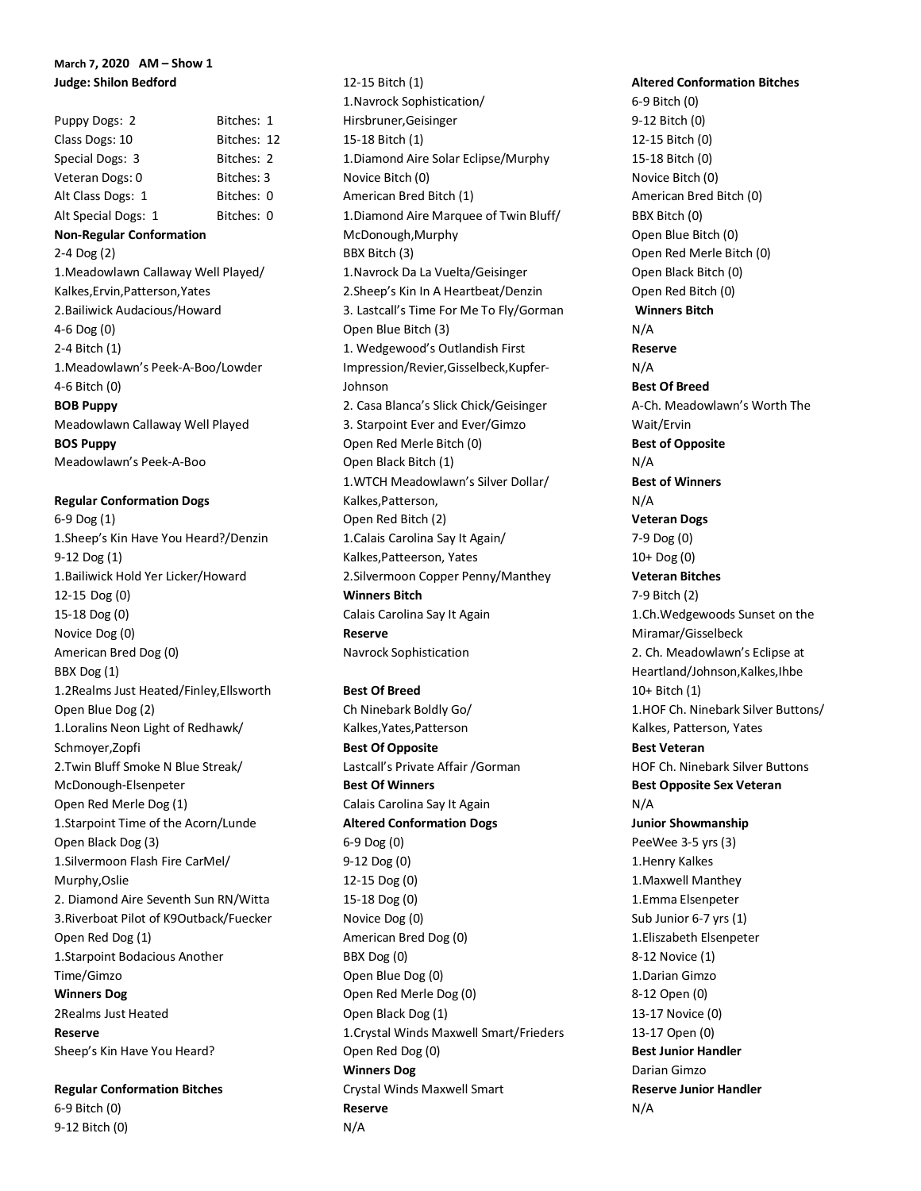# **March 7, 2020 AM – Show 1 Judge: Shilon Bedford**

Puppy Dogs: 2 Bitches: 1 Class Dogs: 10 Bitches: 12 Special Dogs: 3 Bitches: 2 Veteran Dogs: 0 Bitches: 3 Alt Class Dogs: 1 Bitches: 0 Alt Special Dogs: 1 Bitches: 0 **Non-Regular Conformation** 2-4 Dog (2) 1.Meadowlawn Callaway Well Played/ Kalkes,Ervin,Patterson,Yates 2.Bailiwick Audacious/Howard 4-6 Dog (0) 2-4 Bitch (1) 1.Meadowlawn's Peek-A-Boo/Lowder 4-6 Bitch (0) **BOB Puppy** Meadowlawn Callaway Well Played **BOS Puppy** Meadowlawn's Peek-A-Boo

**Regular Conformation Dogs** 6-9 Dog (1) 1.Sheep's Kin Have You Heard?/Denzin 9-12 Dog (1) 1.Bailiwick Hold Yer Licker/Howard 12-15 Dog (0) 15-18 Dog (0) Novice Dog (0) American Bred Dog (0) BBX Dog (1) 1.2Realms Just Heated/Finley,Ellsworth Open Blue Dog (2) 1.Loralins Neon Light of Redhawk/ Schmoyer,Zopfi 2.Twin Bluff Smoke N Blue Streak/ McDonough-Elsenpeter Open Red Merle Dog (1) 1.Starpoint Time of the Acorn/Lunde Open Black Dog (3) 1.Silvermoon Flash Fire CarMel/ Murphy,Oslie 2. Diamond Aire Seventh Sun RN/Witta 3.Riverboat Pilot of K9Outback/Fuecker Open Red Dog (1) 1.Starpoint Bodacious Another Time/Gimzo **Winners Dog** 2Realms Just Heated **Reserve** Sheep's Kin Have You Heard?

**Regular Conformation Bitches** 6-9 Bitch (0) 9-12 Bitch (0)

12-15 Bitch (1) 1.Navrock Sophistication/ Hirsbruner,Geisinger 15-18 Bitch (1) 1.Diamond Aire Solar Eclipse/Murphy Novice Bitch (0) American Bred Bitch (1) 1.Diamond Aire Marquee of Twin Bluff/ McDonough,Murphy BBX Bitch (3) 1.Navrock Da La Vuelta/Geisinger 2.Sheep's Kin In A Heartbeat/Denzin 3. Lastcall's Time For Me To Fly/Gorman Open Blue Bitch (3) 1. Wedgewood's Outlandish First Impression/Revier,Gisselbeck,Kupfer-Johnson 2. Casa Blanca's Slick Chick/Geisinger 3. Starpoint Ever and Ever/Gimzo Open Red Merle Bitch (0) Open Black Bitch (1) 1.WTCH Meadowlawn's Silver Dollar/ Kalkes,Patterson, Open Red Bitch (2) 1.Calais Carolina Say It Again/ Kalkes,Patteerson, Yates 2.Silvermoon Copper Penny/Manthey **Winners Bitch** Calais Carolina Say It Again **Reserve** Navrock Sophistication

**Best Of Breed** Ch Ninebark Boldly Go/ Kalkes,Yates,Patterson **Best Of Opposite** Lastcall's Private Affair /Gorman **Best Of Winners** Calais Carolina Say It Again **Altered Conformation Dogs** 6-9 Dog (0) 9-12 Dog (0) 12-15 Dog (0) 15-18 Dog (0) Novice Dog (0) American Bred Dog (0) BBX Dog (0) Open Blue Dog (0) Open Red Merle Dog (0) Open Black Dog (1) 1.Crystal Winds Maxwell Smart/Frieders Open Red Dog (0) **Winners Dog** Crystal Winds Maxwell Smart **Reserve** N/A

**Altered Conformation Bitches** 6-9 Bitch (0) 9-12 Bitch (0) 12-15 Bitch (0) 15-18 Bitch (0) Novice Bitch (0) American Bred Bitch (0) BBX Bitch (0) Open Blue Bitch (0) Open Red Merle Bitch (0) Open Black Bitch (0) Open Red Bitch (0) **Winners Bitch** N/A **Reserve** N/A **Best Of Breed** A-Ch. Meadowlawn's Worth The Wait/Ervin **Best of Opposite** N/A **Best of Winners** N/A **Veteran Dogs** 7-9 Dog (0) 10+ Dog (0) **Veteran Bitches** 7-9 Bitch (2) 1.Ch.Wedgewoods Sunset on the Miramar/Gisselbeck 2. Ch. Meadowlawn's Eclipse at Heartland/Johnson,Kalkes,Ihbe 10+ Bitch (1) 1.HOF Ch. Ninebark Silver Buttons/ Kalkes, Patterson, Yates **Best Veteran** HOF Ch. Ninebark Silver Buttons **Best Opposite Sex Veteran** N/A **Junior Showmanship** PeeWee 3-5 yrs (3) 1.Henry Kalkes 1.Maxwell Manthey 1.Emma Elsenpeter Sub Junior 6-7 yrs (1) 1.Eliszabeth Elsenpeter 8-12 Novice (1) 1.Darian Gimzo 8-12 Open (0) 13-17 Novice (0) 13-17 Open (0) **Best Junior Handler** Darian Gimzo **Reserve Junior Handler** N/A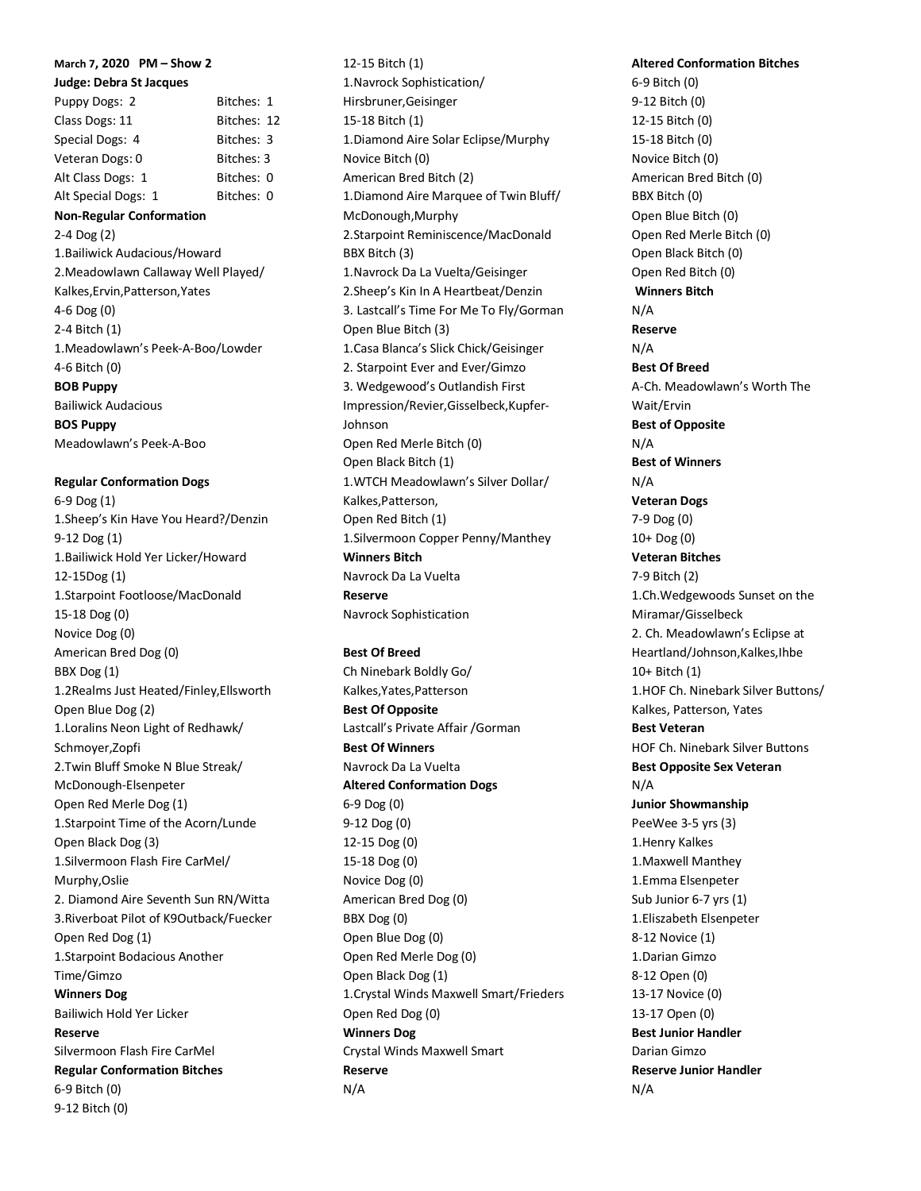# **March 7, 2020 PM – Show 2**

# **Judge: Debra St Jacques**

Puppy Dogs: 2 Bitches: 1 Class Dogs: 11 Bitches: 12 Special Dogs: 4 Bitches: 3 Veteran Dogs: 0 Bitches: 3 Alt Class Dogs: 1 Bitches: 0 Alt Special Dogs: 1 Bitches: 0 **Non-Regular Conformation** 2-4 Dog (2) 1.Bailiwick Audacious/Howard 2.Meadowlawn Callaway Well Played/ Kalkes,Ervin,Patterson,Yates 4-6 Dog (0)

2-4 Bitch (1) 1.Meadowlawn's Peek-A-Boo/Lowder 4-6 Bitch (0) **BOB Puppy** Bailiwick Audacious **BOS Puppy** Meadowlawn's Peek-A-Boo

#### **Regular Conformation Dogs**

6-9 Dog (1) 1.Sheep's Kin Have You Heard?/Denzin 9-12 Dog (1) 1.Bailiwick Hold Yer Licker/Howard 12-15Dog (1) 1.Starpoint Footloose/MacDonald 15-18 Dog (0) Novice Dog (0) American Bred Dog (0) BBX Dog (1) 1.2Realms Just Heated/Finley,Ellsworth Open Blue Dog (2) 1.Loralins Neon Light of Redhawk/ Schmoyer,Zopfi 2.Twin Bluff Smoke N Blue Streak/ McDonough-Elsenpeter Open Red Merle Dog (1) 1.Starpoint Time of the Acorn/Lunde Open Black Dog (3) 1.Silvermoon Flash Fire CarMel/ Murphy,Oslie 2. Diamond Aire Seventh Sun RN/Witta 3.Riverboat Pilot of K9Outback/Fuecker Open Red Dog (1) 1.Starpoint Bodacious Another Time/Gimzo **Winners Dog** Bailiwich Hold Yer Licker **Reserve** Silvermoon Flash Fire CarMel **Regular Conformation Bitches** 6-9 Bitch (0) 9-12 Bitch (0)

12-15 Bitch (1) 1.Navrock Sophistication/ Hirsbruner,Geisinger 15-18 Bitch (1) 1.Diamond Aire Solar Eclipse/Murphy Novice Bitch (0) American Bred Bitch (2) 1.Diamond Aire Marquee of Twin Bluff/ McDonough,Murphy 2.Starpoint Reminiscence/MacDonald BBX Bitch (3) 1.Navrock Da La Vuelta/Geisinger 2.Sheep's Kin In A Heartbeat/Denzin 3. Lastcall's Time For Me To Fly/Gorman Open Blue Bitch (3) 1.Casa Blanca's Slick Chick/Geisinger 2. Starpoint Ever and Ever/Gimzo 3. Wedgewood's Outlandish First Impression/Revier,Gisselbeck,Kupfer-Johnson Open Red Merle Bitch (0) Open Black Bitch (1) 1.WTCH Meadowlawn's Silver Dollar/ Kalkes,Patterson, Open Red Bitch (1) 1.Silvermoon Copper Penny/Manthey **Winners Bitch** Navrock Da La Vuelta **Reserve**

**Best Of Breed** Ch Ninebark Boldly Go/ Kalkes,Yates,Patterson **Best Of Opposite** Lastcall's Private Affair /Gorman **Best Of Winners** Navrock Da La Vuelta **Altered Conformation Dogs** 6-9 Dog (0) 9-12 Dog (0) 12-15 Dog (0) 15-18 Dog (0) Novice Dog (0) American Bred Dog (0) BBX Dog (0) Open Blue Dog (0) Open Red Merle Dog (0) Open Black Dog (1) 1.Crystal Winds Maxwell Smart/Frieders Open Red Dog (0) **Winners Dog** Crystal Winds Maxwell Smart **Reserve** N/A

Navrock Sophistication

**Altered Conformation Bitches** 6-9 Bitch (0) 9-12 Bitch (0) 12-15 Bitch (0) 15-18 Bitch (0) Novice Bitch (0) American Bred Bitch (0) BBX Bitch (0) Open Blue Bitch (0) Open Red Merle Bitch (0) Open Black Bitch (0) Open Red Bitch (0) **Winners Bitch** N/A **Reserve** N/A **Best Of Breed** A-Ch. Meadowlawn's Worth The Wait/Ervin **Best of Opposite** N/A **Best of Winners** N/A **Veteran Dogs** 7-9 Dog (0) 10+ Dog (0) **Veteran Bitches** 7-9 Bitch (2) 1.Ch.Wedgewoods Sunset on the Miramar/Gisselbeck 2. Ch. Meadowlawn's Eclipse at Heartland/Johnson,Kalkes,Ihbe 10+ Bitch (1) 1.HOF Ch. Ninebark Silver Buttons/ Kalkes, Patterson, Yates **Best Veteran** HOF Ch. Ninebark Silver Buttons **Best Opposite Sex Veteran** N/A **Junior Showmanship** PeeWee 3-5 yrs (3) 1.Henry Kalkes 1.Maxwell Manthey 1.Emma Elsenpeter Sub Junior 6-7 yrs (1) 1.Eliszabeth Elsenpeter 8-12 Novice (1) 1.Darian Gimzo 8-12 Open (0) 13-17 Novice (0) 13-17 Open (0) **Best Junior Handler** Darian Gimzo **Reserve Junior Handler** N/A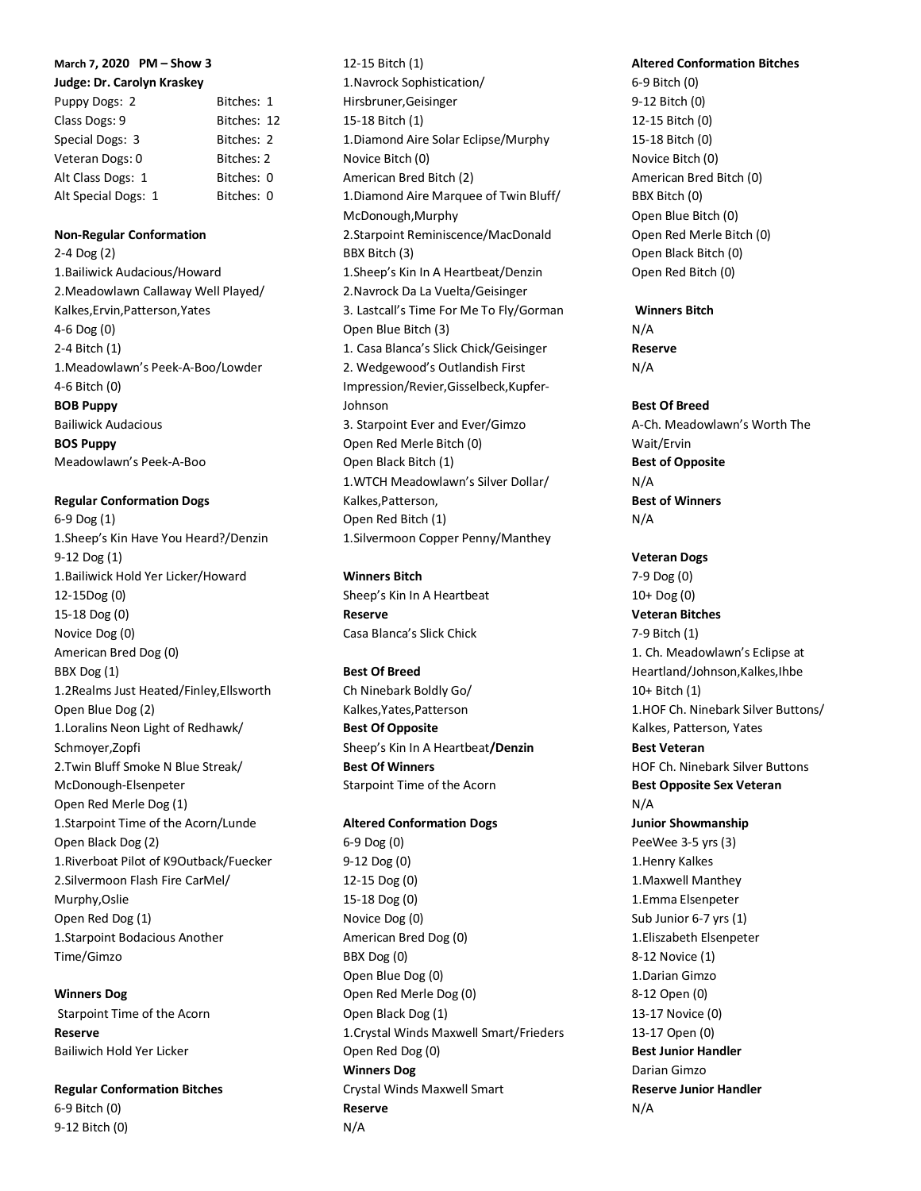# **March 7, 2020 PM – Show 3**

# **Judge: Dr. Carolyn Kraskey**

| Puppy Dogs: 2       | Bitches: 1  |
|---------------------|-------------|
| Class Dogs: 9       | Bitches: 12 |
| Special Dogs: 3     | Bitches: 2  |
| Veteran Dogs: 0     | Bitches: 2  |
| Alt Class Dogs: 1   | Bitches: 0  |
| Alt Special Dogs: 1 | Bitches: 0  |

### **Non-Regular Conformation**

2-4 Dog (2) 1.Bailiwick Audacious/Howard 2.Meadowlawn Callaway Well Played/ Kalkes,Ervin,Patterson,Yates 4-6 Dog (0) 2-4 Bitch (1) 1.Meadowlawn's Peek-A-Boo/Lowder 4-6 Bitch (0) **BOB Puppy** Bailiwick Audacious **BOS Puppy** Meadowlawn's Peek-A-Boo

# **Regular Conformation Dogs**

6-9 Dog (1) 1.Sheep's Kin Have You Heard?/Denzin 9-12 Dog (1) 1.Bailiwick Hold Yer Licker/Howard 12-15Dog (0) 15-18 Dog (0) Novice Dog (0) American Bred Dog (0) BBX Dog (1) 1.2Realms Just Heated/Finley,Ellsworth Open Blue Dog (2) 1.Loralins Neon Light of Redhawk/ Schmoyer,Zopfi 2.Twin Bluff Smoke N Blue Streak/ McDonough-Elsenpeter Open Red Merle Dog (1) 1.Starpoint Time of the Acorn/Lunde Open Black Dog (2) 1.Riverboat Pilot of K9Outback/Fuecker 2.Silvermoon Flash Fire CarMel/ Murphy,Oslie Open Red Dog (1) 1.Starpoint Bodacious Another Time/Gimzo

# **Winners Dog**

Starpoint Time of the Acorn **Reserve** Bailiwich Hold Yer Licker

## **Regular Conformation Bitches** 6-9 Bitch (0)

9-12 Bitch (0)

1.Navrock Sophistication/ Hirsbruner,Geisinger 15-18 Bitch (1) 1.Diamond Aire Solar Eclipse/Murphy Novice Bitch (0) American Bred Bitch (2) 1.Diamond Aire Marquee of Twin Bluff/ McDonough,Murphy 2.Starpoint Reminiscence/MacDonald BBX Bitch (3) 1.Sheep's Kin In A Heartbeat/Denzin 2.Navrock Da La Vuelta/Geisinger 3. Lastcall's Time For Me To Fly/Gorman Open Blue Bitch (3) 1. Casa Blanca's Slick Chick/Geisinger 2. Wedgewood's Outlandish First Impression/Revier,Gisselbeck,Kupfer-Johnson 3. Starpoint Ever and Ever/Gimzo Open Red Merle Bitch (0) Open Black Bitch (1) 1.WTCH Meadowlawn's Silver Dollar/ Kalkes,Patterson, Open Red Bitch (1) 1.Silvermoon Copper Penny/Manthey

## **Winners Bitch**

12-15 Bitch (1)

Sheep's Kin In A Heartbeat **Reserve** Casa Blanca's Slick Chick

# **Best Of Breed**

Ch Ninebark Boldly Go/ Kalkes,Yates,Patterson **Best Of Opposite** Sheep's Kin In A Heartbeat**/Denzin Best Of Winners** Starpoint Time of the Acorn

## **Altered Conformation Dogs**

6-9 Dog (0) 9-12 Dog (0) 12-15 Dog (0) 15-18 Dog (0) Novice Dog (0) American Bred Dog (0) BBX Dog (0) Open Blue Dog (0) Open Red Merle Dog (0) Open Black Dog (1) 1.Crystal Winds Maxwell Smart/Frieders Open Red Dog (0) **Winners Dog** Crystal Winds Maxwell Smart **Reserve** N/A

# **Altered Conformation Bitches**

6-9 Bitch (0) 9-12 Bitch (0) 12-15 Bitch (0) 15-18 Bitch (0) Novice Bitch (0) American Bred Bitch (0) BBX Bitch (0) Open Blue Bitch (0) Open Red Merle Bitch (0) Open Black Bitch (0) Open Red Bitch (0)

# **Winners Bitch**

N/A **Reserve** N/A

# **Best Of Breed**

A-Ch. Meadowlawn's Worth The Wait/Ervin **Best of Opposite** N/A **Best of Winners** N/A

# **Veteran Dogs**

7-9 Dog (0) 10+ Dog (0) **Veteran Bitches** 7-9 Bitch (1) 1. Ch. Meadowlawn's Eclipse at Heartland/Johnson,Kalkes,Ihbe 10+ Bitch (1) 1.HOF Ch. Ninebark Silver Buttons/ Kalkes, Patterson, Yates **Best Veteran** HOF Ch. Ninebark Silver Buttons **Best Opposite Sex Veteran** N/A **Junior Showmanship** PeeWee 3-5 yrs (3) 1.Henry Kalkes 1.Maxwell Manthey 1.Emma Elsenpeter Sub Junior 6-7 yrs (1) 1.Eliszabeth Elsenpeter 8-12 Novice (1) 1.Darian Gimzo 8-12 Open (0) 13-17 Novice (0) 13-17 Open (0) **Best Junior Handler** Darian Gimzo **Reserve Junior Handler** N/A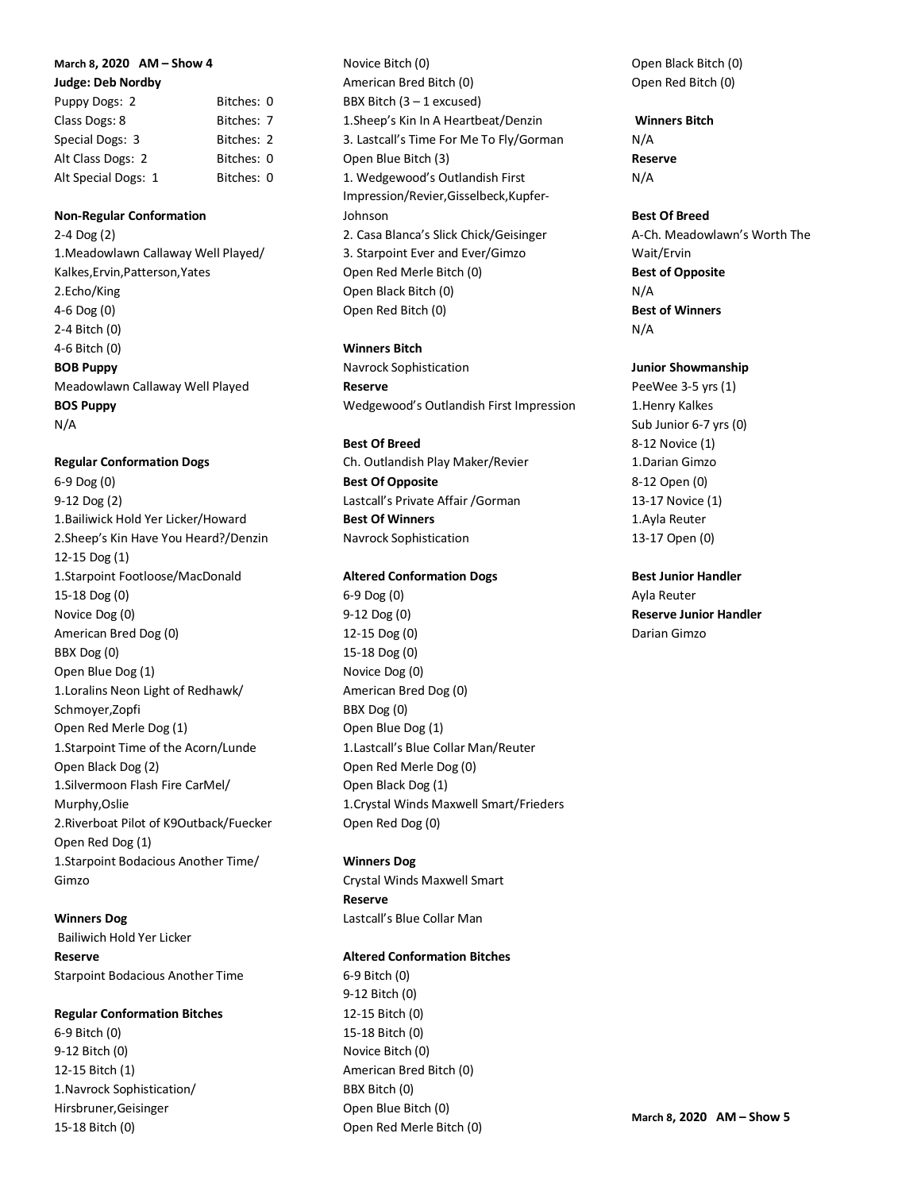### **March 8, 2020 AM – Show 4**

**Judge: Deb Nordby**

| Puppy Dogs: 2       | Bitches: 0 |  |
|---------------------|------------|--|
| Class Dogs: 8       | Bitches: 7 |  |
| Special Dogs: 3     | Bitches: 2 |  |
| Alt Class Dogs: 2   | Bitches: 0 |  |
| Alt Special Dogs: 1 | Bitches: 0 |  |

### **Non-Regular Conformation**

2-4 Dog (2) 1.Meadowlawn Callaway Well Played/ Kalkes,Ervin,Patterson,Yates 2.Echo/King 4-6 Dog (0) 2-4 Bitch (0) 4-6 Bitch (0) **BOB Puppy** Meadowlawn Callaway Well Played **BOS Puppy** N/A

#### **Regular Conformation Dogs**

6-9 Dog (0) 9-12 Dog (2) 1.Bailiwick Hold Yer Licker/Howard 2.Sheep's Kin Have You Heard?/Denzin 12-15 Dog (1) 1.Starpoint Footloose/MacDonald 15-18 Dog (0) Novice Dog (0) American Bred Dog (0) BBX Dog (0) Open Blue Dog (1) 1.Loralins Neon Light of Redhawk/ Schmoyer,Zopfi Open Red Merle Dog (1) 1.Starpoint Time of the Acorn/Lunde Open Black Dog (2) 1.Silvermoon Flash Fire CarMel/ Murphy,Oslie 2.Riverboat Pilot of K9Outback/Fuecker Open Red Dog (1) 1.Starpoint Bodacious Another Time/ Gimzo

# **Winners Dog**

Bailiwich Hold Yer Licker **Reserve** Starpoint Bodacious Another Time

#### **Regular Conformation Bitches**

6-9 Bitch (0) 9-12 Bitch (0) 12-15 Bitch (1) 1.Navrock Sophistication/ Hirsbruner,Geisinger 15-18 Bitch (0)

Novice Bitch (0) American Bred Bitch (0) BBX Bitch (3 – 1 excused) 1.Sheep's Kin In A Heartbeat/Denzin 3. Lastcall's Time For Me To Fly/Gorman Open Blue Bitch (3) 1. Wedgewood's Outlandish First Impression/Revier,Gisselbeck,Kupfer-Johnson 2. Casa Blanca's Slick Chick/Geisinger 3. Starpoint Ever and Ever/Gimzo Open Red Merle Bitch (0) Open Black Bitch (0) Open Red Bitch (0)

#### **Winners Bitch**

Navrock Sophistication **Reserve** Wedgewood's Outlandish First Impression

#### **Best Of Breed**

Ch. Outlandish Play Maker/Revier **Best Of Opposite** Lastcall's Private Affair /Gorman **Best Of Winners** Navrock Sophistication

#### **Altered Conformation Dogs**

6-9 Dog (0) 9-12 Dog (0) 12-15 Dog (0) 15-18 Dog (0) Novice Dog (0) American Bred Dog (0) BBX Dog (0) Open Blue Dog (1) 1.Lastcall's Blue Collar Man/Reuter Open Red Merle Dog (0) Open Black Dog (1) 1.Crystal Winds Maxwell Smart/Frieders Open Red Dog (0)

#### **Winners Dog**

Crystal Winds Maxwell Smart **Reserve** Lastcall's Blue Collar Man

#### **Altered Conformation Bitches**

6-9 Bitch (0) 9-12 Bitch (0) 12-15 Bitch (0) 15-18 Bitch (0) Novice Bitch (0) American Bred Bitch (0) BBX Bitch (0) Open Blue Bitch (0) Open Red Merle Bitch (0) Open Black Bitch (0) Open Red Bitch (0)

**Winners Bitch** N/A **Reserve** N/A

## **Best Of Breed**

A-Ch. Meadowlawn's Worth The Wait/Ervin **Best of Opposite** N/A **Best of Winners** N/A

#### **Junior Showmanship**

PeeWee 3-5 yrs (1) 1.Henry Kalkes Sub Junior 6-7 yrs (0) 8-12 Novice (1) 1.Darian Gimzo 8-12 Open (0) 13-17 Novice (1) 1.Ayla Reuter 13-17 Open (0)

#### **Best Junior Handler**

Ayla Reuter **Reserve Junior Handler** Darian Gimzo